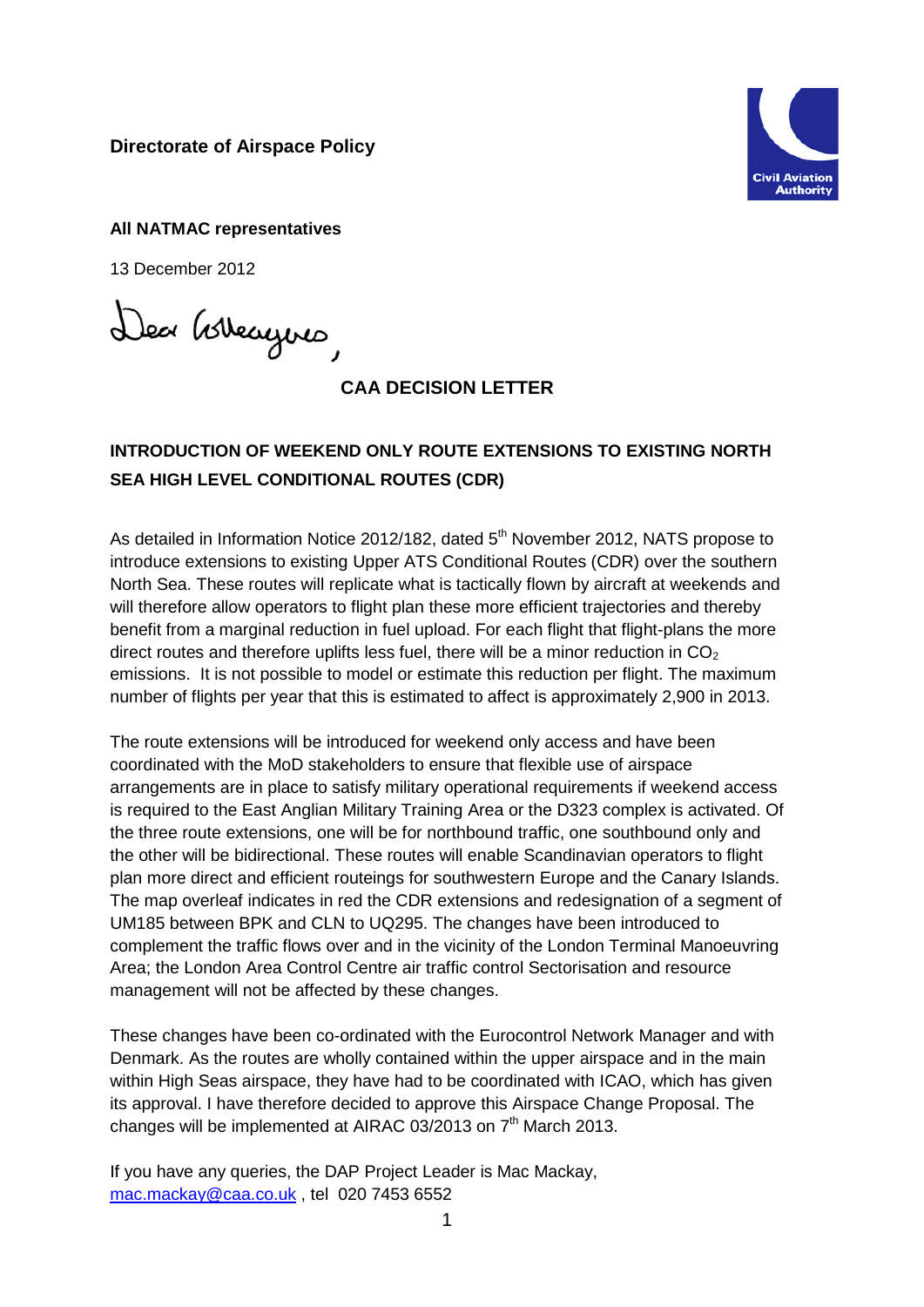**Directorate of Airspace Policy**



**All NATMAC representatives**

13 December 2012

Dea Govergnes

## **CAA DECISION LETTER**

## **INTRODUCTION OF WEEKEND ONLY ROUTE EXTENSIONS TO EXISTING NORTH SEA HIGH LEVEL CONDITIONAL ROUTES (CDR)**

As detailed in Information Notice 2012/182, dated 5<sup>th</sup> November 2012, NATS propose to introduce extensions to existing Upper ATS Conditional Routes (CDR) over the southern North Sea. These routes will replicate what is tactically flown by aircraft at weekends and will therefore allow operators to flight plan these more efficient trajectories and thereby benefit from a marginal reduction in fuel upload. For each flight that flight-plans the more direct routes and therefore uplifts less fuel, there will be a minor reduction in  $CO<sub>2</sub>$ emissions. It is not possible to model or estimate this reduction per flight. The maximum number of flights per year that this is estimated to affect is approximately 2,900 in 2013.

The route extensions will be introduced for weekend only access and have been coordinated with the MoD stakeholders to ensure that flexible use of airspace arrangements are in place to satisfy military operational requirements if weekend access is required to the East Anglian Military Training Area or the D323 complex is activated. Of the three route extensions, one will be for northbound traffic, one southbound only and the other will be bidirectional. These routes will enable Scandinavian operators to flight plan more direct and efficient routeings for southwestern Europe and the Canary Islands. The map overleaf indicates in red the CDR extensions and redesignation of a segment of UM185 between BPK and CLN to UQ295. The changes have been introduced to complement the traffic flows over and in the vicinity of the London Terminal Manoeuvring Area; the London Area Control Centre air traffic control Sectorisation and resource management will not be affected by these changes.

These changes have been co-ordinated with the Eurocontrol Network Manager and with Denmark. As the routes are wholly contained within the upper airspace and in the main within High Seas airspace, they have had to be coordinated with ICAO, which has given its approval. I have therefore decided to approve this Airspace Change Proposal. The changes will be implemented at AIRAC 03/2013 on  $7<sup>th</sup>$  March 2013.

If you have any queries, the DAP Project Leader is Mac Mackay, [mac.mackay@caa.co.uk](mailto:mac.mackay@caa.co.uk) , tel 020 7453 6552